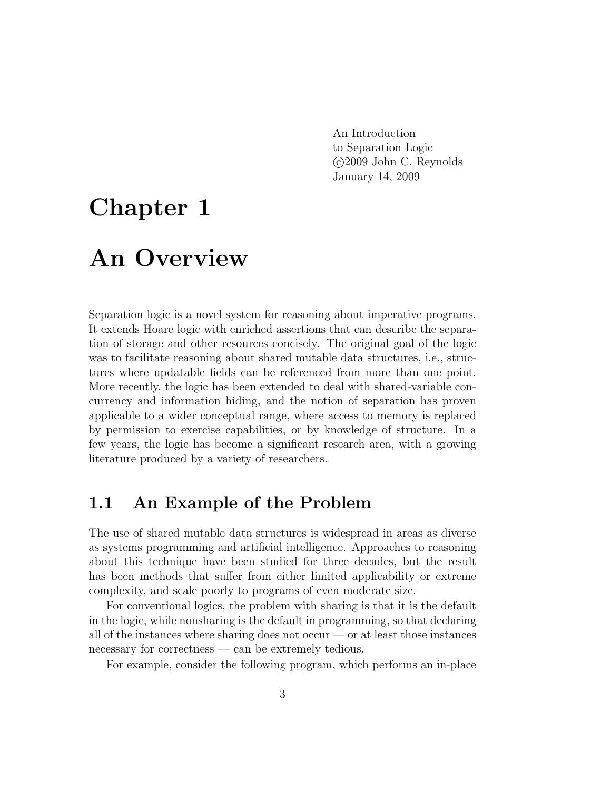An Introduction to Separation Logic c 2009 John C. Reynolds January 14, 2009

# Chapter 1

## An Overview

Separation logic is a novel system for reasoning about imperative programs. It extends Hoare logic with enriched assertions that can describe the separation of storage and other resources concisely. The original goal of the logic was to facilitate reasoning about shared mutable data structures, i.e., structures where updatable fields can be referenced from more than one point. More recently, the logic has been extended to deal with shared-variable concurrency and information hiding, and the notion of separation has proven applicable to a wider conceptual range, where access to memory is replaced by permission to exercise capabilities, or by knowledge of structure. In a few years, the logic has become a significant research area, with a growing literature produced by a variety of researchers.

### 1.1 An Example of the Problem

The use of shared mutable data structures is widespread in areas as diverse as systems programming and artificial intelligence. Approaches to reasoning about this technique have been studied for three decades, but the result has been methods that suffer from either limited applicability or extreme complexity, and scale poorly to programs of even moderate size.

For conventional logics, the problem with sharing is that it is the default in the logic, while nonsharing is the default in programming, so that declaring all of the instances where sharing does not occur — or at least those instances necessary for correctness — can be extremely tedious.

For example, consider the following program, which performs an in-place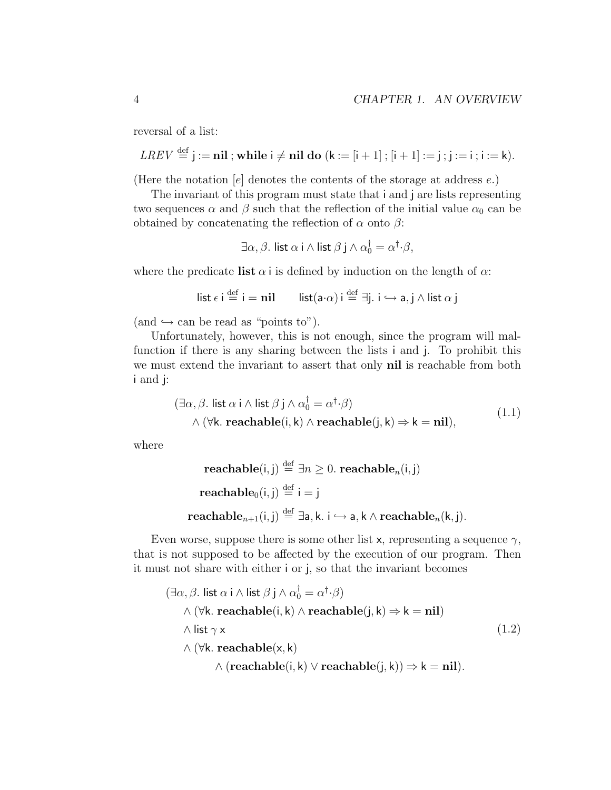reversal of a list:

$$
LREV \stackrel{\text{def}}{=} j := \mathbf{nil} \; ; \text{while } i \neq \mathbf{nil} \; \mathbf{do} \; (k := [i+1] \; ; [i+1] := j \; ; j := i \; ; i := k).
$$

(Here the notation  $[e]$  denotes the contents of the storage at address  $e$ .)

The invariant of this program must state that i and j are lists representing two sequences  $\alpha$  and  $\beta$  such that the reflection of the initial value  $\alpha_0$  can be obtained by concatenating the reflection of  $\alpha$  onto  $\beta$ :

$$
\exists \alpha, \beta. \text{ list } \alpha \text{ i } \wedge \text{ list } \beta \text{ j } \wedge \alpha_0^{\dagger} = \alpha^{\dagger} \cdot \beta,
$$

where the predicate list  $\alpha$  i is defined by induction on the length of  $\alpha$ :

$$
\mathsf{list} \ \epsilon \ \mathsf{i} \stackrel{\mathrm{def}}{=} \mathsf{i} = \mathsf{nil} \qquad \mathsf{list}(\mathsf{a} \cdot \alpha) \ \mathsf{i} \stackrel{\mathrm{def}}{=} \exists \mathsf{j}. \ \mathsf{i} \hookrightarrow \mathsf{a}, \mathsf{j} \land \mathsf{list} \ \alpha \ \mathsf{j}
$$

 $(and \rightarrow can be read as "points to").$ 

Unfortunately, however, this is not enough, since the program will malfunction if there is any sharing between the lists i and j. To prohibit this we must extend the invariant to assert that only nil is reachable from both i and j:

$$
(\exists \alpha, \beta. \text{ list } \alpha \text{ i } \land \text{ list } \beta \text{ j } \land \alpha_0^{\dagger} = \alpha^{\dagger} \cdot \beta)
$$
  
 
$$
\land (\forall k. \text{ reachable}(\text{i}, k) \land \text{reachable}(\text{j}, k) \Rightarrow k = \text{nil}),
$$
 (1.1)

where

$$
\begin{aligned}\n\textbf{reachable}(i, j) & \stackrel{\text{def}}{=} \exists n \ge 0. \textbf{ reachable}_n(i, j) \\
\textbf{reachable}_0(i, j) & \stackrel{\text{def}}{=} i = j \\
\textbf{reachable}_{n+1}(i, j) & \stackrel{\text{def}}{=} \exists a, k. \ i \hookrightarrow a, k \land \textbf{reachable}_n(k, j).\n\end{aligned}
$$

Even worse, suppose there is some other list x, representing a sequence  $\gamma$ , that is not supposed to be affected by the execution of our program. Then it must not share with either i or j, so that the invariant becomes

$$
(\exists \alpha, \beta. \text{ list } \alpha \text{ i} \land \text{list } \beta \text{ j} \land \alpha_0^{\dagger} = \alpha^{\dagger} \cdot \beta)
$$
  
 
$$
\land (\forall k. \text{ reachable}(i, k) \land \text{reachable}(j, k) \Rightarrow k = \text{nil})
$$
  
 
$$
\land \text{ list } \gamma \times
$$
  
 
$$
\land (\forall k. \text{ reachable}(x, k)
$$
  
 
$$
\land (\text{reachable}(i, k) \lor \text{reachable}(j, k)) \Rightarrow k = \text{nil}).
$$
  
(1.2)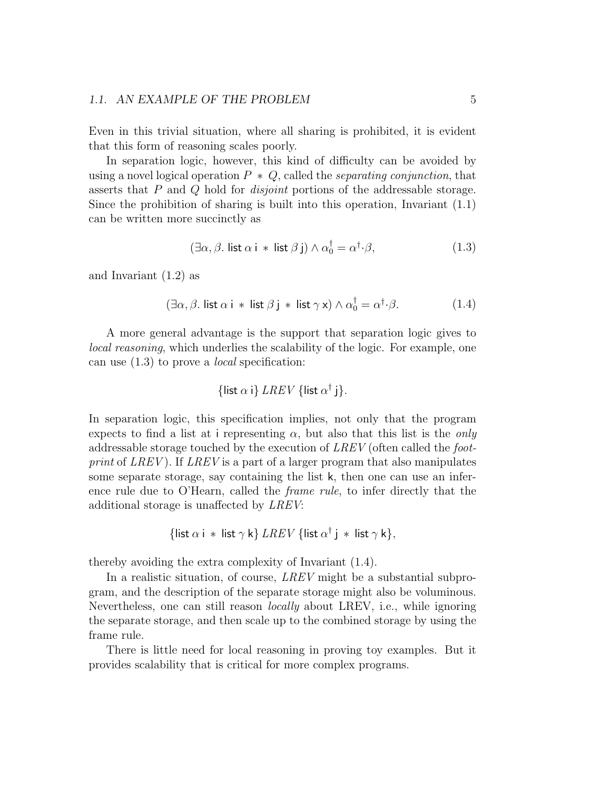#### 1.1. AN EXAMPLE OF THE PROBLEM 5

Even in this trivial situation, where all sharing is prohibited, it is evident that this form of reasoning scales poorly.

In separation logic, however, this kind of difficulty can be avoided by using a novel logical operation  $P * Q$ , called the *separating conjunction*, that asserts that P and Q hold for disjoint portions of the addressable storage. Since the prohibition of sharing is built into this operation, Invariant  $(1.1)$ can be written more succinctly as

$$
(\exists \alpha, \beta. \text{ list } \alpha \text{ i } * \text{ list } \beta \text{ j}) \land \alpha_0^{\dagger} = \alpha^{\dagger} \cdot \beta,
$$
\n(1.3)

and Invariant (1.2) as

$$
(\exists \alpha, \beta. \text{ list } \alpha \text{ i } * \text{ list } \beta \text{ j } * \text{ list } \gamma \times) \land \alpha_0^{\dagger} = \alpha^{\dagger} \cdot \beta. \tag{1.4}
$$

A more general advantage is the support that separation logic gives to local reasoning, which underlies the scalability of the logic. For example, one can use (1.3) to prove a local specification:

{list 
$$
\alpha
$$
 i} *LREV* {list  $\alpha^{\dagger}$  j}.

In separation logic, this specification implies, not only that the program expects to find a list at i representing  $\alpha$ , but also that this list is the *only* addressable storage touched by the execution of LREV (often called the footprint of LREV). If LREV is a part of a larger program that also manipulates some separate storage, say containing the list k, then one can use an inference rule due to O'Hearn, called the frame rule, to infer directly that the additional storage is unaffected by LREV:

{list 
$$
\alpha
$$
 i \* list  $\gamma$  k} *LREV* {list  $\alpha^{\dagger}$  j \* list  $\gamma$  k},

thereby avoiding the extra complexity of Invariant (1.4).

In a realistic situation, of course, *LREV* might be a substantial subprogram, and the description of the separate storage might also be voluminous. Nevertheless, one can still reason locally about LREV, i.e., while ignoring the separate storage, and then scale up to the combined storage by using the frame rule.

There is little need for local reasoning in proving toy examples. But it provides scalability that is critical for more complex programs.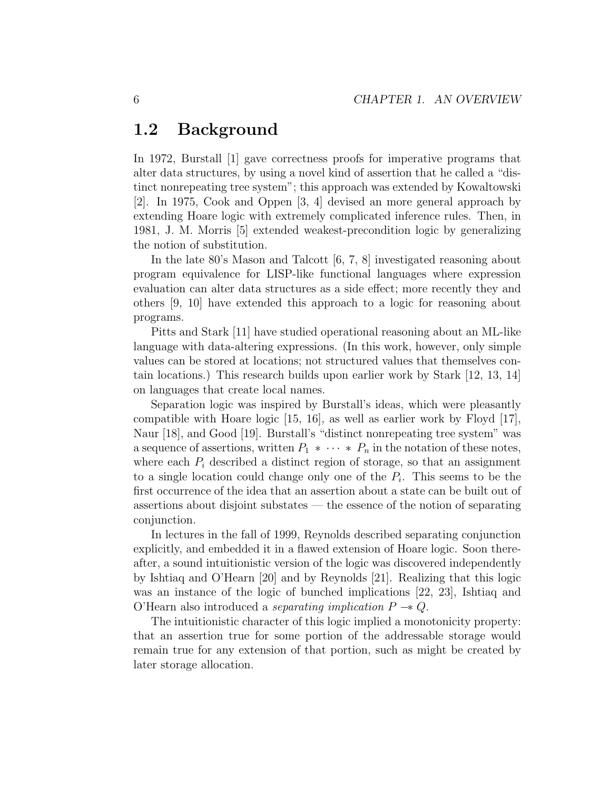### 1.2 Background

In 1972, Burstall [1] gave correctness proofs for imperative programs that alter data structures, by using a novel kind of assertion that he called a "distinct nonrepeating tree system"; this approach was extended by Kowaltowski [2]. In 1975, Cook and Oppen [3, 4] devised an more general approach by extending Hoare logic with extremely complicated inference rules. Then, in 1981, J. M. Morris [5] extended weakest-precondition logic by generalizing the notion of substitution.

In the late 80's Mason and Talcott [6, 7, 8] investigated reasoning about program equivalence for LISP-like functional languages where expression evaluation can alter data structures as a side effect; more recently they and others [9, 10] have extended this approach to a logic for reasoning about programs.

Pitts and Stark [11] have studied operational reasoning about an ML-like language with data-altering expressions. (In this work, however, only simple values can be stored at locations; not structured values that themselves contain locations.) This research builds upon earlier work by Stark [12, 13, 14] on languages that create local names.

Separation logic was inspired by Burstall's ideas, which were pleasantly compatible with Hoare logic [15, 16], as well as earlier work by Floyd [17], Naur [18], and Good [19]. Burstall's "distinct nonrepeating tree system" was a sequence of assertions, written  $P_1 * \cdots * P_n$  in the notation of these notes, where each  $P_i$  described a distinct region of storage, so that an assignment to a single location could change only one of the  $P_i$ . This seems to be the first occurrence of the idea that an assertion about a state can be built out of assertions about disjoint substates — the essence of the notion of separating conjunction.

In lectures in the fall of 1999, Reynolds described separating conjunction explicitly, and embedded it in a flawed extension of Hoare logic. Soon thereafter, a sound intuitionistic version of the logic was discovered independently by Ishtiaq and O'Hearn [20] and by Reynolds [21]. Realizing that this logic was an instance of the logic of bunched implications [22, 23], Ishtiaq and O'Hearn also introduced a *separating implication*  $P \rightarrow Q$ .

The intuitionistic character of this logic implied a monotonicity property: that an assertion true for some portion of the addressable storage would remain true for any extension of that portion, such as might be created by later storage allocation.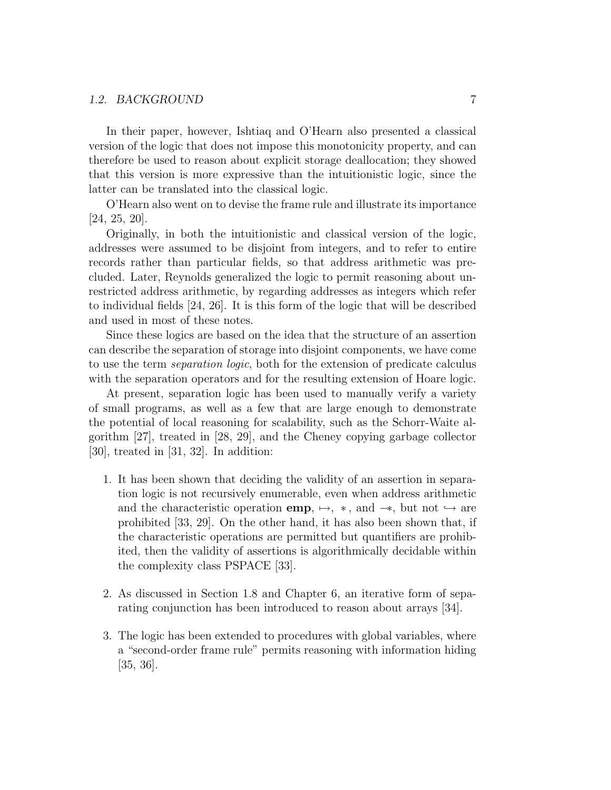#### 1.2. BACKGROUND 7

In their paper, however, Ishtiaq and O'Hearn also presented a classical version of the logic that does not impose this monotonicity property, and can therefore be used to reason about explicit storage deallocation; they showed that this version is more expressive than the intuitionistic logic, since the latter can be translated into the classical logic.

O'Hearn also went on to devise the frame rule and illustrate its importance [24, 25, 20].

Originally, in both the intuitionistic and classical version of the logic, addresses were assumed to be disjoint from integers, and to refer to entire records rather than particular fields, so that address arithmetic was precluded. Later, Reynolds generalized the logic to permit reasoning about unrestricted address arithmetic, by regarding addresses as integers which refer to individual fields [24, 26]. It is this form of the logic that will be described and used in most of these notes.

Since these logics are based on the idea that the structure of an assertion can describe the separation of storage into disjoint components, we have come to use the term separation logic, both for the extension of predicate calculus with the separation operators and for the resulting extension of Hoare logic.

At present, separation logic has been used to manually verify a variety of small programs, as well as a few that are large enough to demonstrate the potential of local reasoning for scalability, such as the Schorr-Waite algorithm [27], treated in [28, 29], and the Cheney copying garbage collector [30], treated in [31, 32]. In addition:

- 1. It has been shown that deciding the validity of an assertion in separation logic is not recursively enumerable, even when address arithmetic and the characteristic operation **emp**,  $\mapsto$ ,  $*$ , and  $\rightarrow$ , but not  $\hookrightarrow$  are prohibited [33, 29]. On the other hand, it has also been shown that, if the characteristic operations are permitted but quantifiers are prohibited, then the validity of assertions is algorithmically decidable within the complexity class PSPACE [33].
- 2. As discussed in Section 1.8 and Chapter 6, an iterative form of separating conjunction has been introduced to reason about arrays [34].
- 3. The logic has been extended to procedures with global variables, where a "second-order frame rule" permits reasoning with information hiding [35, 36].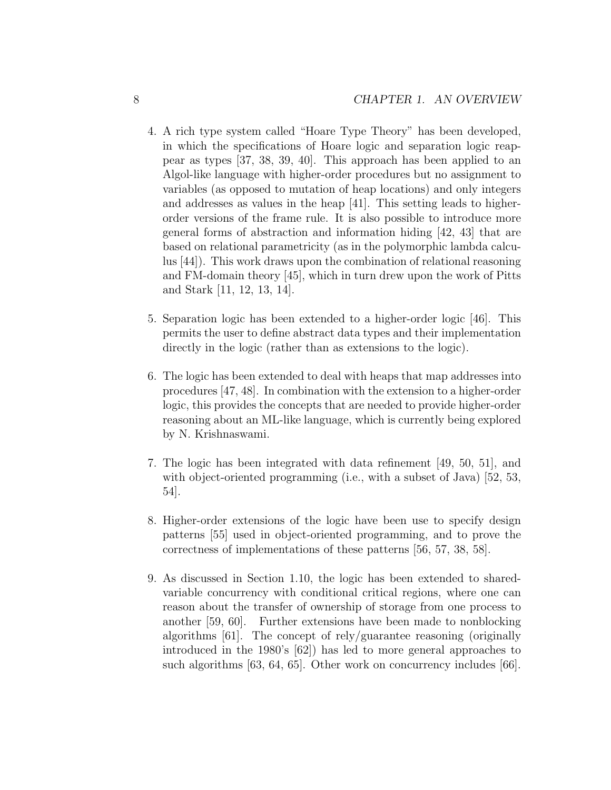- 4. A rich type system called "Hoare Type Theory" has been developed, in which the specifications of Hoare logic and separation logic reappear as types [37, 38, 39, 40]. This approach has been applied to an Algol-like language with higher-order procedures but no assignment to variables (as opposed to mutation of heap locations) and only integers and addresses as values in the heap [41]. This setting leads to higherorder versions of the frame rule. It is also possible to introduce more general forms of abstraction and information hiding [42, 43] that are based on relational parametricity (as in the polymorphic lambda calculus [44]). This work draws upon the combination of relational reasoning and FM-domain theory [45], which in turn drew upon the work of Pitts and Stark [11, 12, 13, 14].
- 5. Separation logic has been extended to a higher-order logic [46]. This permits the user to define abstract data types and their implementation directly in the logic (rather than as extensions to the logic).
- 6. The logic has been extended to deal with heaps that map addresses into procedures [47, 48]. In combination with the extension to a higher-order logic, this provides the concepts that are needed to provide higher-order reasoning about an ML-like language, which is currently being explored by N. Krishnaswami.
- 7. The logic has been integrated with data refinement [49, 50, 51], and with object-oriented programming (i.e., with a subset of Java) [52, 53, 54].
- 8. Higher-order extensions of the logic have been use to specify design patterns [55] used in object-oriented programming, and to prove the correctness of implementations of these patterns [56, 57, 38, 58].
- 9. As discussed in Section 1.10, the logic has been extended to sharedvariable concurrency with conditional critical regions, where one can reason about the transfer of ownership of storage from one process to another [59, 60]. Further extensions have been made to nonblocking algorithms [61]. The concept of rely/guarantee reasoning (originally introduced in the 1980's [62]) has led to more general approaches to such algorithms [63, 64, 65]. Other work on concurrency includes [66].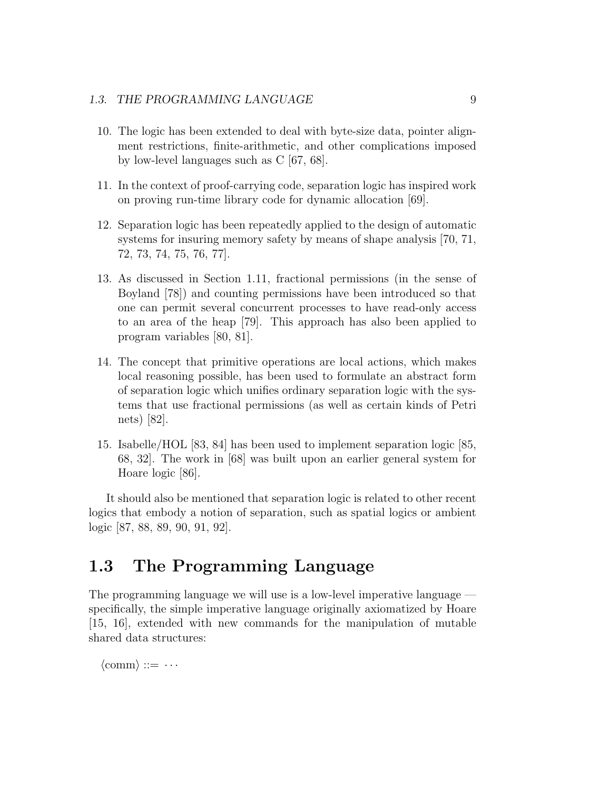#### 1.3. THE PROGRAMMING LANGUAGE 9

- 10. The logic has been extended to deal with byte-size data, pointer alignment restrictions, finite-arithmetic, and other complications imposed by low-level languages such as C [67, 68].
- 11. In the context of proof-carrying code, separation logic has inspired work on proving run-time library code for dynamic allocation [69].
- 12. Separation logic has been repeatedly applied to the design of automatic systems for insuring memory safety by means of shape analysis [70, 71, 72, 73, 74, 75, 76, 77].
- 13. As discussed in Section 1.11, fractional permissions (in the sense of Boyland [78]) and counting permissions have been introduced so that one can permit several concurrent processes to have read-only access to an area of the heap [79]. This approach has also been applied to program variables [80, 81].
- 14. The concept that primitive operations are local actions, which makes local reasoning possible, has been used to formulate an abstract form of separation logic which unifies ordinary separation logic with the systems that use fractional permissions (as well as certain kinds of Petri nets) [82].
- 15. Isabelle/HOL [83, 84] has been used to implement separation logic [85, 68, 32]. The work in [68] was built upon an earlier general system for Hoare logic [86].

It should also be mentioned that separation logic is related to other recent logics that embody a notion of separation, such as spatial logics or ambient logic [87, 88, 89, 90, 91, 92].

### 1.3 The Programming Language

The programming language we will use is a low-level imperative language specifically, the simple imperative language originally axiomatized by Hoare [15, 16], extended with new commands for the manipulation of mutable shared data structures:

 $\langle \text{comm} \rangle ::= \cdots$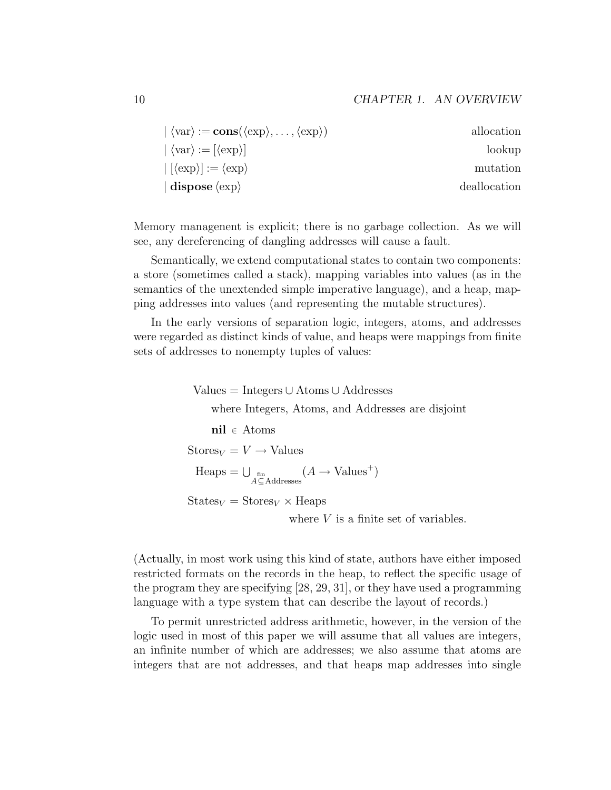| $\langle \text{var} \rangle := \text{cons}(\langle \text{exp} \rangle, \dots, \langle \text{exp} \rangle)$ | allocation   |
|------------------------------------------------------------------------------------------------------------|--------------|
| $\langle \text{var} \rangle := [\langle \text{exp} \rangle]$                                               | lookup       |
| $ \left[ \langle \exp \rangle \right] := \langle \exp \rangle$                                             | mutation     |
| $\vert$ dispose $\langle$ exp $\rangle$                                                                    | deallocation |

Memory managenent is explicit; there is no garbage collection. As we will see, any dereferencing of dangling addresses will cause a fault.

Semantically, we extend computational states to contain two components: a store (sometimes called a stack), mapping variables into values (as in the semantics of the unextended simple imperative language), and a heap, mapping addresses into values (and representing the mutable structures).

In the early versions of separation logic, integers, atoms, and addresses were regarded as distinct kinds of value, and heaps were mappings from finite sets of addresses to nonempty tuples of values:

> Values = Integers ∪ Atoms ∪ Addresses where Integers, Atoms, and Addresses are disjoint nil <sup>∈</sup> Atoms  $\text{Stores}_V = V \rightarrow \text{Values}$  $\text{Heaps} = \bigcup_{\substack{\text{fin} \\ A \subseteq \text{Address}}} (A \rightarrow \text{Values}^+)$  $States_V = Stores_V \times Heaps$ where V is a finite set of variables.

(Actually, in most work using this kind of state, authors have either imposed restricted formats on the records in the heap, to reflect the specific usage of

the program they are specifying [28, 29, 31], or they have used a programming language with a type system that can describe the layout of records.) To permit unrestricted address arithmetic, however, in the version of the logic used in most of this paper we will assume that all values are integers,

an infinite number of which are addresses; we also assume that atoms are integers that are not addresses, and that heaps map addresses into single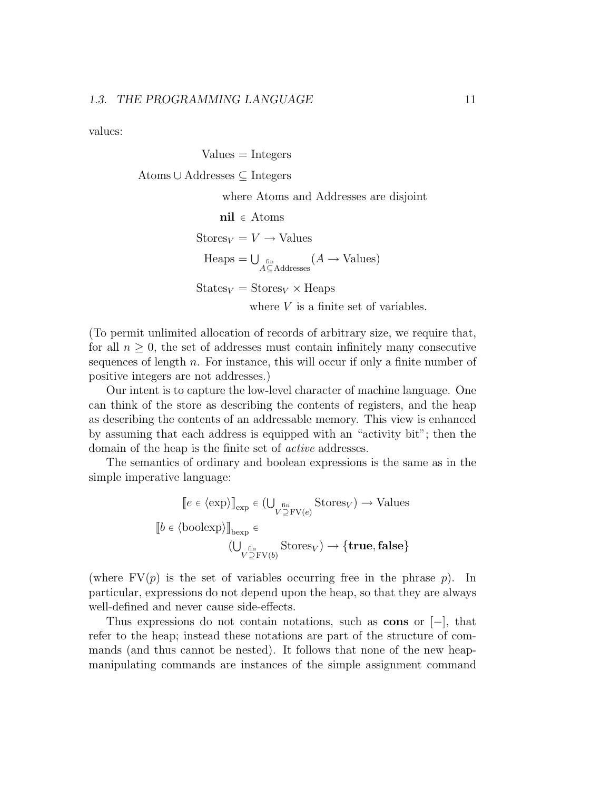values:

Values = Integers  
\nAtoms 
$$
\cup
$$
 Addresses  $\subseteq$  Integers  
\nwhere Atoms and Addresses are disjoint  
\n $\text{nil} \in$  Atoms  
\n  
\nStores<sub>V</sub> = V  $\rightarrow$  Values  
\n $\text{Heaps} = \bigcup_{\substack{\text{fin} \\ A \subseteq Addresses}} (A \rightarrow \text{Values})$   
\n  
\n  
\nStates<sub>V</sub> = Stores<sub>V</sub> × Heaps

where  $V$  is a finite set of variables.

(To permit unlimited allocation of records of arbitrary size, we require that, for all  $n \geq 0$ , the set of addresses must contain infinitely many consecutive sequences of length  $n$ . For instance, this will occur if only a finite number of positive integers are not addresses.)

Our intent is to capture the low-level character of machine language. One can think of the store as describing the contents of registers, and the heap as describing the contents of an addressable memory. This view is enhanced by assuming that each address is equipped with an "activity bit"; then the domain of the heap is the finite set of active addresses.

The semantics of ordinary and boolean expressions is the same as in the simple imperative language:

$$
[e \in \langle \exp \rangle]_{\text{exp}} \in (\bigcup_{V \supseteq \text{FV}(e)} \text{Stores}_V) \to \text{Values}
$$
  

$$
[b \in \langle \text{boolean} \rangle]_{\text{bexp}} \in (\bigcup_{V \supseteq \text{FV}(b)} \text{Stores}_V) \to \{\text{true}, \text{false}\}
$$

(where  $FV(p)$  is the set of variables occurring free in the phrase p). In particular, expressions do not depend upon the heap, so that they are always well-defined and never cause side-effects.

Thus expressions do not contain notations, such as cons or [−], that refer to the heap; instead these notations are part of the structure of commands (and thus cannot be nested). It follows that none of the new heapmanipulating commands are instances of the simple assignment command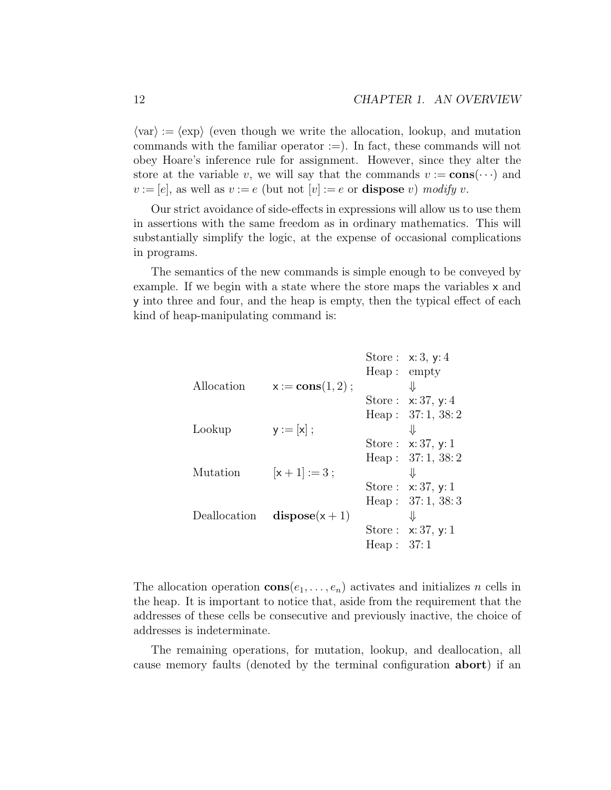$\langle \text{var} \rangle := \langle \text{exp} \rangle$  (even though we write the allocation, lookup, and mutation commands with the familiar operator  $:=$ ). In fact, these commands will not obey Hoare's inference rule for assignment. However, since they alter the store at the variable v, we will say that the commands  $v := \mathbf{cons}(\cdots)$  and  $v := [e]$ , as well as  $v := e$  (but not  $[v] := e$  or **dispose** v) modify v.

Our strict avoidance of side-effects in expressions will allow us to use them in assertions with the same freedom as in ordinary mathematics. This will substantially simplify the logic, at the expense of occasional complications in programs.

The semantics of the new commands is simple enough to be conveyed by example. If we begin with a state where the store maps the variables x and y into three and four, and the heap is empty, then the typical effect of each kind of heap-manipulating command is:

|            |                                 |              | Store: $x: 3, y: 4$  |
|------------|---------------------------------|--------------|----------------------|
|            |                                 | Heap:empty   |                      |
| Allocation | $x := \text{cons}(1, 2)$ ;      |              | ⇓                    |
|            |                                 |              | Store: $x: 37, y: 4$ |
|            |                                 |              | Heap: $37:1, 38:2$   |
| Lookup     | $y := [x]$ ;                    |              | ⇊                    |
|            |                                 |              | Store: $x: 37, y: 1$ |
|            |                                 |              | Heap: $37:1, 38:2$   |
| Mutation   | $[x+1]:=3;$                     |              | ⇓                    |
|            |                                 |              | Store: $x: 37, y: 1$ |
|            |                                 |              | Heap: $37:1, 38:3$   |
|            | Deallocation dispose( $x + 1$ ) |              | ⇓                    |
|            |                                 |              | Store: $x: 37, y: 1$ |
|            |                                 | Heap: $37:1$ |                      |
|            |                                 |              |                      |

The allocation operation  $\mathbf{cons}(e_1, \ldots, e_n)$  activates and initializes n cells in the heap. It is important to notice that, aside from the requirement that the addresses of these cells be consecutive and previously inactive, the choice of addresses is indeterminate.

The remaining operations, for mutation, lookup, and deallocation, all cause memory faults (denoted by the terminal configuration abort) if an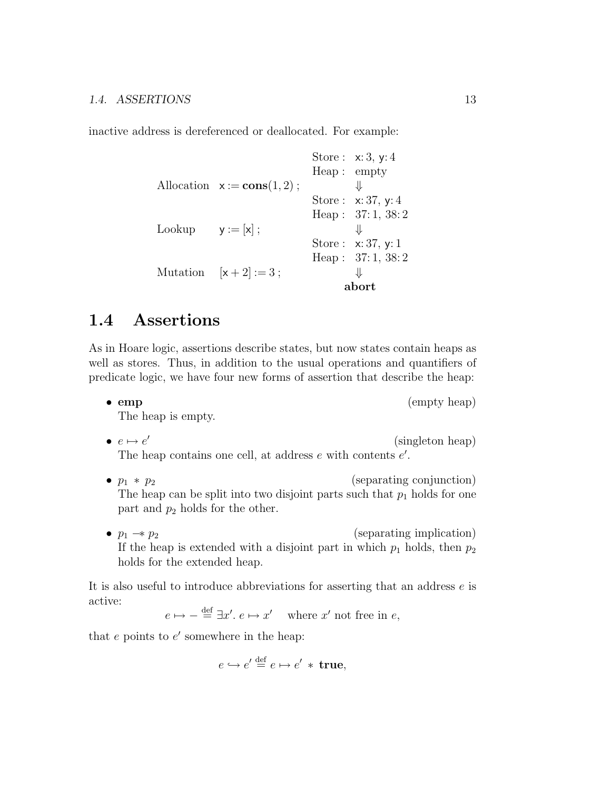inactive address is dereferenced or deallocated. For example:

```
Store : x: 3, y: 4
                          Heap : empty
Allocation x := const(1, 2); \qquad \qquad \downarrowStore : x: 37, y: 4
                          Heap : 37: 1, 38: 2
Lookup y := [x];
                          Store : x: 37, y: 1
                          Heap: 37:1, 38:2
Mutation [x + 2] := 3;
                                abort
```
### 1.4 Assertions

As in Hoare logic, assertions describe states, but now states contain heaps as well as stores. Thus, in addition to the usual operations and quantifiers of predicate logic, we have four new forms of assertion that describe the heap:

• emp (empty heap)

The heap is empty.

- $\bullet\ \ e\mapsto e'$ (singleton heap) The heap contains one cell, at address  $e$  with contents  $e'$ .
- $p_1 * p_2$  (separating conjunction) The heap can be split into two disjoint parts such that  $p_1$  holds for one part and  $p_2$  holds for the other.
- $p_1 \rightarrow p_2$  (separating implication) If the heap is extended with a disjoint part in which  $p_1$  holds, then  $p_2$ holds for the extended heap.

It is also useful to introduce abbreviations for asserting that an address e is active:

 $e \mapsto -\stackrel{\text{def}}{=} \exists x'. e \mapsto x'$  where x' not free in e,

that  $e$  points to  $e'$  somewhere in the heap:

$$
e \hookrightarrow e' \stackrel{\text{def}}{=} e \mapsto e' * \text{ true},
$$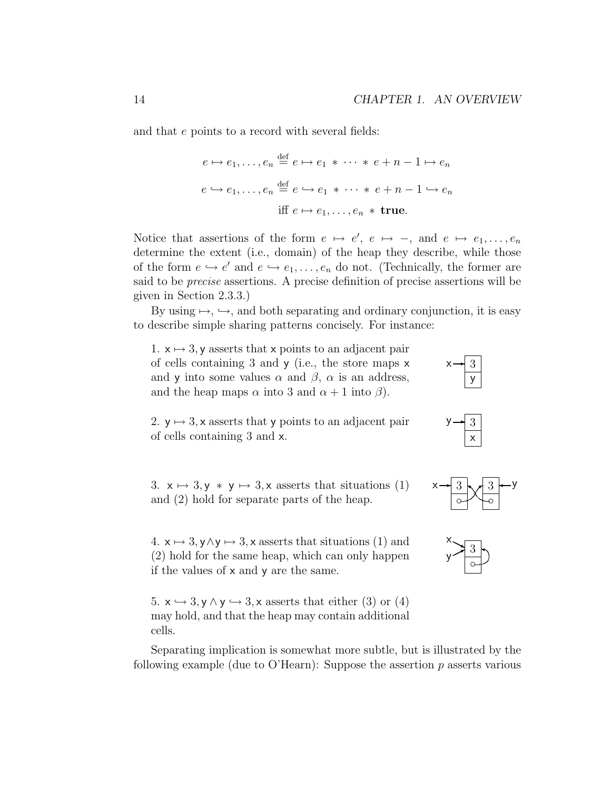and that e points to a record with several fields:

$$
e \mapsto e_1, \dots, e_n \stackrel{\text{def}}{=} e \mapsto e_1 \ast \dots \ast e + n - 1 \mapsto e_n
$$
  

$$
e \hookrightarrow e_1, \dots, e_n \stackrel{\text{def}}{=} e \hookrightarrow e_1 \ast \dots \ast e + n - 1 \hookrightarrow e_n
$$
  
iff 
$$
e \mapsto e_1, \dots, e_n \ast \text{true.}
$$

Notice that assertions of the form  $e \mapsto e'$ ,  $e \mapsto -$ , and  $e \mapsto e_1, \ldots, e_n$ determine the extent (i.e., domain) of the heap they describe, while those of the form  $e \hookrightarrow e'$  and  $e \hookrightarrow e_1, \ldots, e_n$  do not. (Technically, the former are said to be precise assertions. A precise definition of precise assertions will be given in Section 2.3.3.)

By using  $\mapsto$ ,  $\hookrightarrow$ , and both separating and ordinary conjunction, it is easy to describe simple sharing patterns concisely. For instance:

1.  $x \mapsto 3$ , y asserts that x points to an adjacent pair of cells containing 3 and y (i.e., the store maps x and y into some values  $\alpha$  and  $\beta$ ,  $\alpha$  is an address, and the heap maps  $\alpha$  into 3 and  $\alpha + 1$  into  $\beta$ ).

2.  $y \mapsto 3$ , x asserts that y points to an adjacent pair of cells containing 3 and x.

3.  $x \mapsto 3, y \ast y \mapsto 3, x$  asserts that situations (1) and  $(2)$  hold for separate parts of the heap.

4.  $x \mapsto 3$ ,  $y \wedge y \mapsto 3$ , x asserts that situations (1) and (2) hold for the same heap, which can only happen if the values of  $x$  and  $y$  are the same.

5.  $x \leftrightarrow 3, y \wedge y \leftrightarrow 3, x$  asserts that either (3) or (4) may hold, and that the heap may contain additional cells.

Separating implication is somewhat more subtle, but is illustrated by the following example (due to O'Hearn): Suppose the assertion  $p$  asserts various



y  $x \rightarrow \sqrt{3}$ 



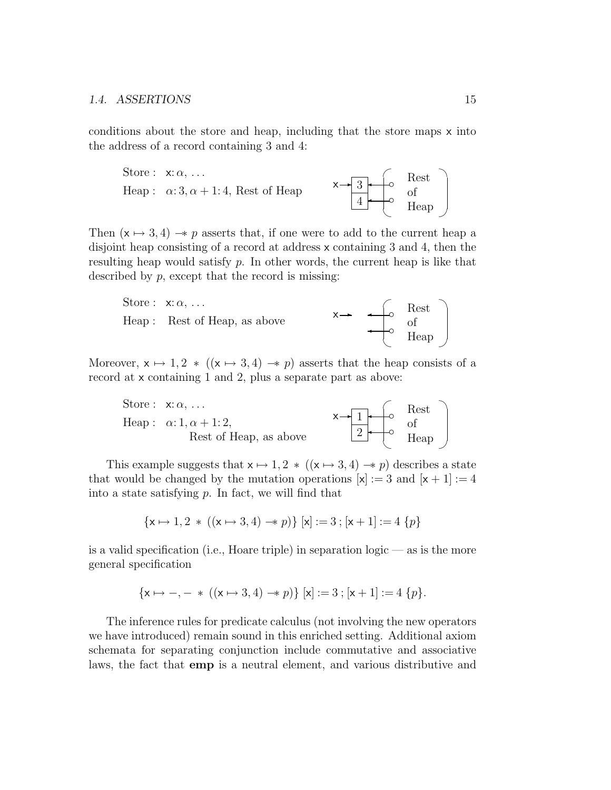conditions about the store and heap, including that the store maps x into the address of a record containing 3 and 4:



Then  $(x \mapsto 3, 4) \rightarrow p$  asserts that, if one were to add to the current heap a disjoint heap consisting of a record at address x containing 3 and 4, then the resulting heap would satisfy  $p$ . In other words, the current heap is like that described by  $p$ , except that the record is missing:



Moreover,  $x \mapsto 1, 2 \ast ((x \mapsto 3, 4) \rightarrow p)$  asserts that the heap consists of a record at x containing 1 and 2, plus a separate part as above:



This example suggests that  $x \mapsto 1, 2 \ast ((x \mapsto 3, 4) \rightarrow p)$  describes a state that would be changed by the mutation operations  $[x] := 3$  and  $[x + 1] := 4$ into a state satisfying  $p$ . In fact, we will find that

$$
\{\mathbf{x} \mapsto 1, 2 \, * \, ((\mathbf{x} \mapsto 3, 4) \to p) \} \; [\mathbf{x}] := 3 \; ; [\mathbf{x} + 1] := 4 \; \{p\}
$$

is a valid specification (i.e., Hoare triple) in separation logic — as is the more general specification

$$
\{x \mapsto -, - * ((x \mapsto 3, 4) \to p)\} [x] := 3 ; [x + 1] := 4 \{p\}.
$$

The inference rules for predicate calculus (not involving the new operators we have introduced) remain sound in this enriched setting. Additional axiom schemata for separating conjunction include commutative and associative laws, the fact that emp is a neutral element, and various distributive and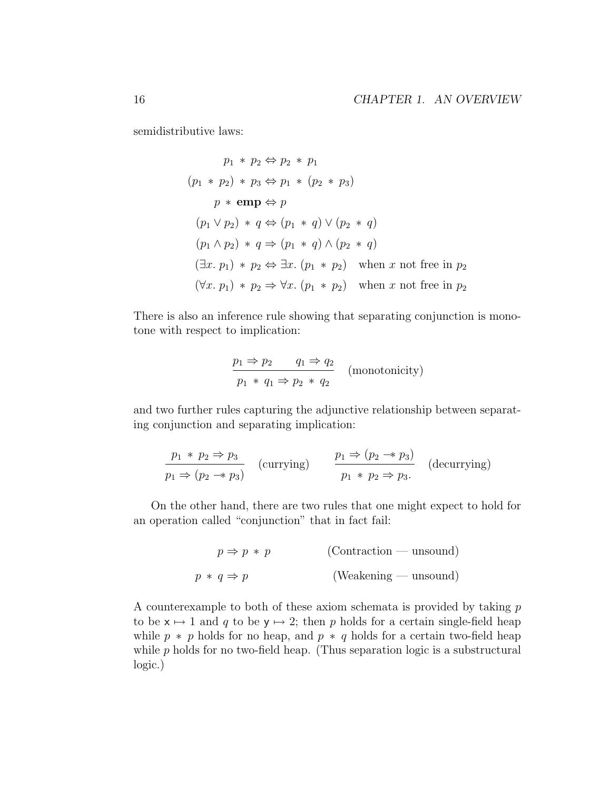semidistributive laws:

$$
p_1 * p_2 \Leftrightarrow p_2 * p_1
$$
  
\n
$$
(p_1 * p_2) * p_3 \Leftrightarrow p_1 * (p_2 * p_3)
$$
  
\n
$$
p * \textbf{emp} \Leftrightarrow p
$$
  
\n
$$
(p_1 \vee p_2) * q \Leftrightarrow (p_1 * q) \vee (p_2 * q)
$$
  
\n
$$
(p_1 \wedge p_2) * q \Rightarrow (p_1 * q) \wedge (p_2 * q)
$$
  
\n
$$
(\exists x. p_1) * p_2 \Leftrightarrow \exists x. (p_1 * p_2) \text{ when } x \text{ not free in } p_2
$$
  
\n
$$
(\forall x. p_1) * p_2 \Rightarrow \forall x. (p_1 * p_2) \text{ when } x \text{ not free in } p_2
$$

There is also an inference rule showing that separating conjunction is monotone with respect to implication:

$$
\frac{p_1 \Rightarrow p_2 \qquad q_1 \Rightarrow q_2}{p_1 \ast q_1 \Rightarrow p_2 \ast q_2} \quad \text{(monotonicity)}
$$

and two further rules capturing the adjunctive relationship between separating conjunction and separating implication:

$$
\frac{p_1 * p_2 \Rightarrow p_3}{p_1 \Rightarrow (p_2 \rightarrow p_3)} \quad \text{(currying)} \qquad \frac{p_1 \Rightarrow (p_2 \rightarrow p_3)}{p_1 * p_2 \Rightarrow p_3.} \quad \text{(decurring)}
$$

On the other hand, there are two rules that one might expect to hold for an operation called "conjunction" that in fact fail:

$$
p \Rightarrow p * p
$$
 (Contraction — unsound)  

$$
p * q \Rightarrow p
$$
 (Weakening — unsound)

A counterexample to both of these axiom schemata is provided by taking  $p$ to be  $x \mapsto 1$  and q to be  $y \mapsto 2$ ; then p holds for a certain single-field heap while  $p * p$  holds for no heap, and  $p * q$  holds for a certain two-field heap while  $p$  holds for no two-field heap. (Thus separation logic is a substructural logic.)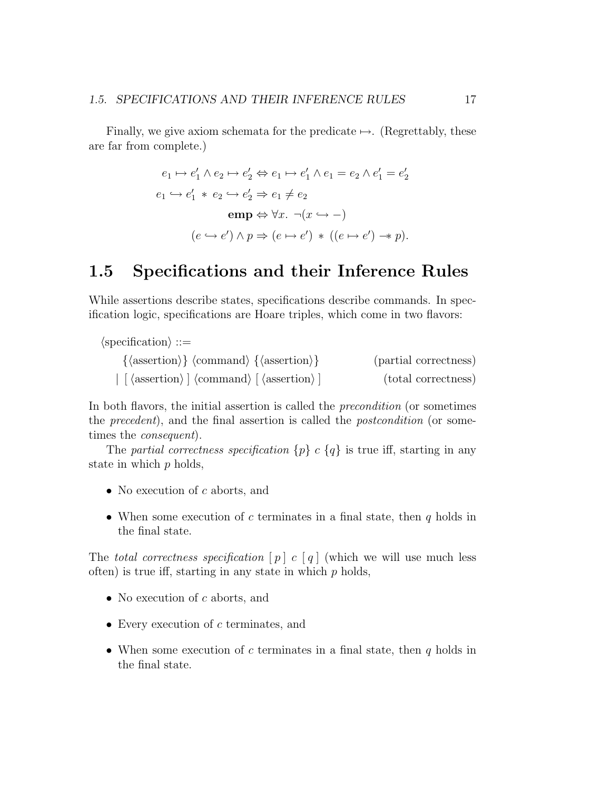Finally, we give axiom schemata for the predicate  $\mapsto$ . (Regrettably, these are far from complete.)

$$
e_1 \mapsto e'_1 \wedge e_2 \mapsto e'_2 \Leftrightarrow e_1 \mapsto e'_1 \wedge e_1 = e_2 \wedge e'_1 = e'_2
$$
  
\n
$$
e_1 \hookrightarrow e'_1 \ast e_2 \hookrightarrow e'_2 \Rightarrow e_1 \neq e_2
$$
  
\n
$$
\operatorname{emp} \Leftrightarrow \forall x. \neg(x \hookrightarrow -)
$$
  
\n
$$
(e \hookrightarrow e') \wedge p \Rightarrow (e \mapsto e') \ast ((e \mapsto e') \twoheadrightarrow p).
$$

### 1.5 Specifications and their Inference Rules

While assertions describe states, specifications describe commands. In specification logic, specifications are Hoare triples, which come in two flavors:

| $\langle \text{specification} \rangle ::=$                                                              |                       |
|---------------------------------------------------------------------------------------------------------|-----------------------|
| $\{\langle assertion \rangle\}$ $\langle command \rangle$ $\{\langle assertion \rangle\}$               | (partial correctness) |
| $\vert$ [ $\langle$ assertion $\rangle$ ] $\langle$ command $\rangle$ [ $\langle$ assertion $\rangle$ ] | (total correctness)   |

In both flavors, the initial assertion is called the precondition (or sometimes the precedent), and the final assertion is called the postcondition (or sometimes the consequent).

The partial correctness specification  $\{p\}$  c  $\{q\}$  is true iff, starting in any state in which  $p$  holds,

- No execution of  $c$  aborts, and
- When some execution of c terminates in a final state, then  $q$  holds in the final state.

The total correctness specification  $[p]$  c  $[q]$  (which we will use much less often) is true iff, starting in any state in which  $p$  holds,

- No execution of  $c$  aborts, and
- Every execution of c terminates, and
- When some execution of c terminates in a final state, then  $q$  holds in the final state.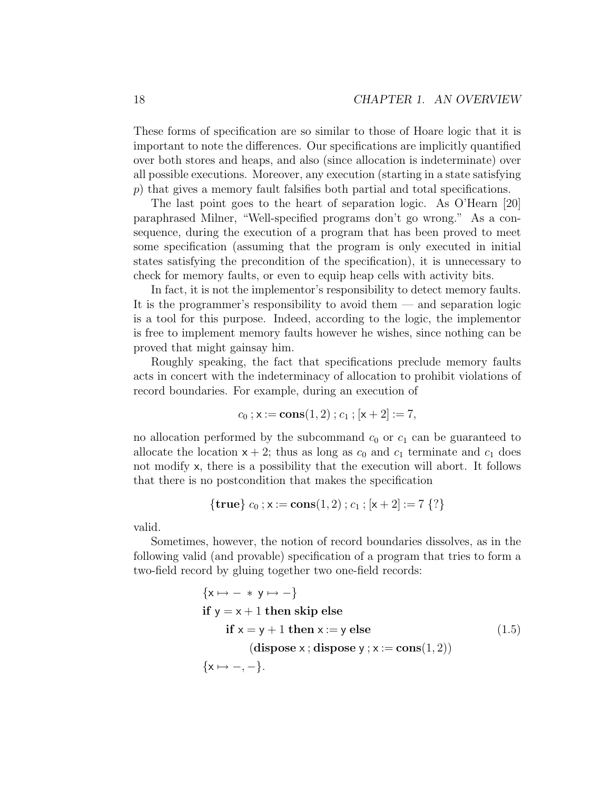These forms of specification are so similar to those of Hoare logic that it is important to note the differences. Our specifications are implicitly quantified over both stores and heaps, and also (since allocation is indeterminate) over all possible executions. Moreover, any execution (starting in a state satisfying p) that gives a memory fault falsifies both partial and total specifications.

The last point goes to the heart of separation logic. As O'Hearn [20] paraphrased Milner, "Well-specified programs don't go wrong." As a consequence, during the execution of a program that has been proved to meet some specification (assuming that the program is only executed in initial states satisfying the precondition of the specification), it is unnecessary to check for memory faults, or even to equip heap cells with activity bits.

In fact, it is not the implementor's responsibility to detect memory faults. It is the programmer's responsibility to avoid them — and separation logic is a tool for this purpose. Indeed, according to the logic, the implementor is free to implement memory faults however he wishes, since nothing can be proved that might gainsay him.

Roughly speaking, the fact that specifications preclude memory faults acts in concert with the indeterminacy of allocation to prohibit violations of record boundaries. For example, during an execution of

$$
c_0 \text{ ; } \mathsf{x} := \text{cons}(1,2) \text{ ; } c_1 \text{ ; } [\mathsf{x}+2] := 7,
$$

no allocation performed by the subcommand  $c_0$  or  $c_1$  can be guaranteed to allocate the location  $x + 2$ ; thus as long as  $c_0$  and  $c_1$  terminate and  $c_1$  does not modify x, there is a possibility that the execution will abort. It follows that there is no postcondition that makes the specification

$$
{\bf true} \, c_0 \, ; x := \mathbf{cons}(1,2) \, ; c_1 \, ; [x+2] := 7 \, \{ ? \}
$$

valid.

Sometimes, however, the notion of record boundaries dissolves, as in the following valid (and provable) specification of a program that tries to form a two-field record by gluing together two one-field records:

$$
\{x \mapsto - * y \mapsto -\}
$$
  
if  $y = x + 1$  then skip else  
if  $x = y + 1$  then  $x := y$  else  
(dispose x; dispose y; x := cons(1, 2))  

$$
\{x \mapsto -, -\}.
$$
 (1.5)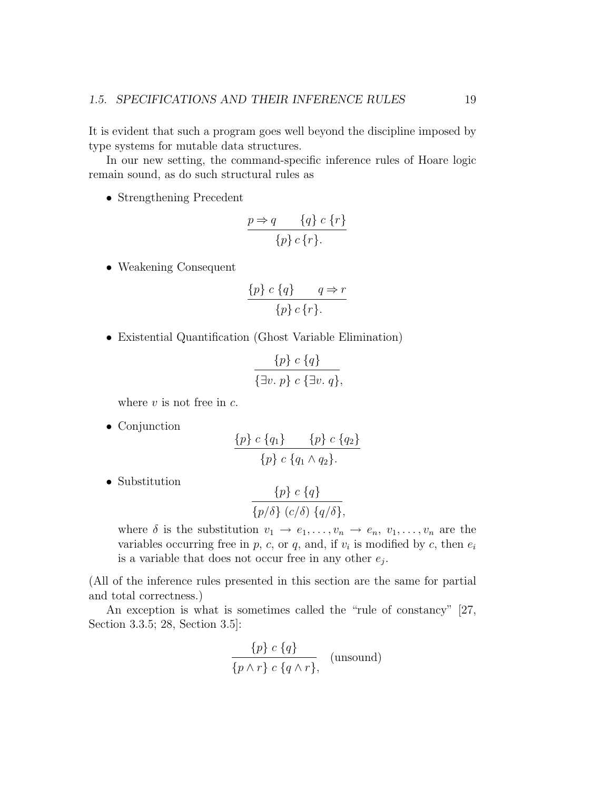It is evident that such a program goes well beyond the discipline imposed by type systems for mutable data structures.

In our new setting, the command-specific inference rules of Hoare logic remain sound, as do such structural rules as

• Strengthening Precedent

$$
\frac{p \Rightarrow q \qquad \{q\} \ c \{r\}}{\{p\} \ c \{r\}.
$$

• Weakening Consequent

$$
\frac{\{p\} \ c \ \{q\}}{\{p\} \ c \ \{r\}}.
$$

• Existential Quantification (Ghost Variable Elimination)

$$
\frac{\{p\} c \{q\}}{\{\exists v. p\} c \{\exists v. q\}},
$$

where  $v$  is not free in  $c$ .

• Conjunction

$$
\frac{\{p\} \ c \ \{q_1\}}{\{p\} \ c \ \{q_1 \wedge q_2\}}.
$$

• Substitution

$$
\frac{\{p\} c \{q\}}{\{p/\delta\} (c/\delta) \{q/\delta\}},
$$

where  $\delta$  is the substitution  $v_1 \to e_1, \ldots, v_n \to e_n, v_1, \ldots, v_n$  are the variables occurring free in  $p$ ,  $c$ , or  $q$ , and, if  $v_i$  is modified by  $c$ , then  $e_i$ is a variable that does not occur free in any other  $e_j$ .

(All of the inference rules presented in this section are the same for partial and total correctness.)

An exception is what is sometimes called the "rule of constancy" [27, Section 3.3.5; 28, Section 3.5]:

$$
\frac{\{p\} c \{q\}}{\{p \land r\} c \{q \land r\}}, \text{ (unsound)}
$$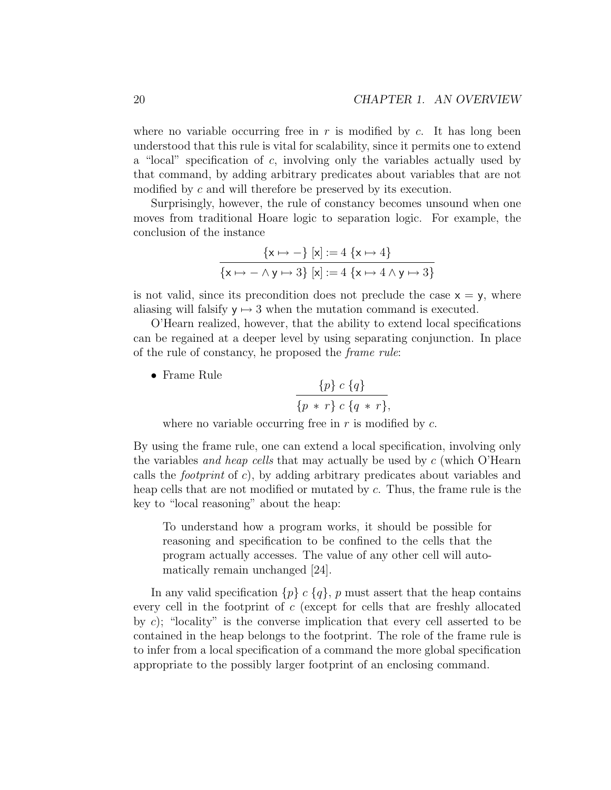where no variable occurring free in  $r$  is modified by  $c$ . It has long been understood that this rule is vital for scalability, since it permits one to extend a "local" specification of  $c$ , involving only the variables actually used by that command, by adding arbitrary predicates about variables that are not modified by c and will therefore be preserved by its execution.

Surprisingly, however, the rule of constancy becomes unsound when one moves from traditional Hoare logic to separation logic. For example, the conclusion of the instance

$$
\frac{\{x \mapsto -\} [x] := 4 \{x \mapsto 4\}}{\{x \mapsto - \land y \mapsto 3\} [x] := 4 \{x \mapsto 4 \land y \mapsto 3\}}
$$

is not valid, since its precondition does not preclude the case  $x = y$ , where aliasing will falsify  $y \mapsto 3$  when the mutation command is executed.

O'Hearn realized, however, that the ability to extend local specifications can be regained at a deeper level by using separating conjunction. In place of the rule of constancy, he proposed the frame rule:

• Frame Rule

$$
\frac{\{p\} c \{q\}}{\{p * r\} c \{q * r\}},
$$

where no variable occurring free in  $r$  is modified by  $c$ .

By using the frame rule, one can extend a local specification, involving only the variables *and heap cells* that may actually be used by  $c$  (which O'Hearn calls the *footprint* of c), by adding arbitrary predicates about variables and heap cells that are not modified or mutated by c. Thus, the frame rule is the key to "local reasoning" about the heap:

To understand how a program works, it should be possible for reasoning and specification to be confined to the cells that the program actually accesses. The value of any other cell will automatically remain unchanged [24].

In any valid specification  $\{p\}$  c  $\{q\}$ , p must assert that the heap contains every cell in the footprint of c (except for cells that are freshly allocated by c); "locality" is the converse implication that every cell asserted to be contained in the heap belongs to the footprint. The role of the frame rule is to infer from a local specification of a command the more global specification appropriate to the possibly larger footprint of an enclosing command.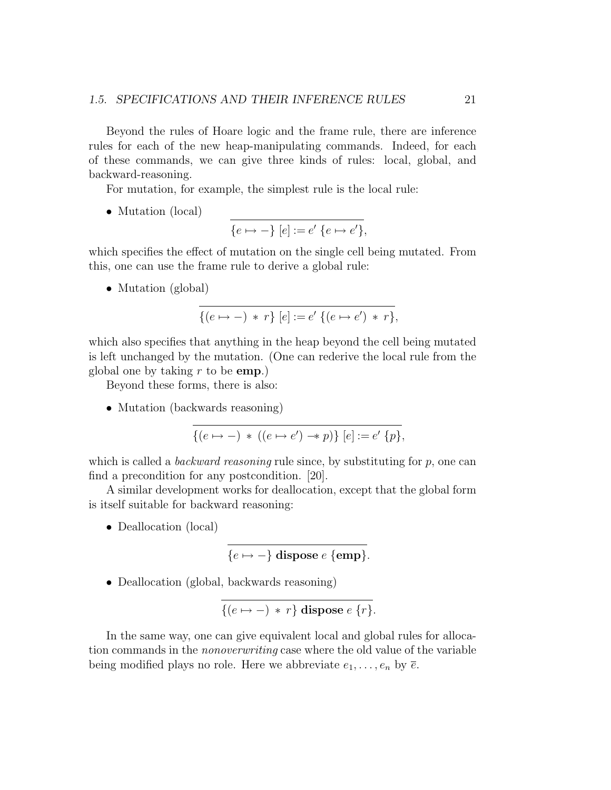Beyond the rules of Hoare logic and the frame rule, there are inference rules for each of the new heap-manipulating commands. Indeed, for each of these commands, we can give three kinds of rules: local, global, and backward-reasoning.

For mutation, for example, the simplest rule is the local rule:

• Mutation (local)

$$
\overline{\{e \mapsto -\} [e] := e' \{e \mapsto e'\},\}
$$

which specifies the effect of mutation on the single cell being mutated. From this, one can use the frame rule to derive a global rule:

• Mutation (global)

$$
\overline{\{(e \mapsto -) * r\} [e] := e' \{(e \mapsto e') * r\}},
$$

which also specifies that anything in the heap beyond the cell being mutated is left unchanged by the mutation. (One can rederive the local rule from the global one by taking  $r$  to be emp.)

Beyond these forms, there is also:

• Mutation (backwards reasoning)

$$
\{(e \mapsto -) * ((e \mapsto e') \twoheadrightarrow p)\} [e] := e' \{p\},
$$

which is called a *backward reasoning* rule since, by substituting for  $p$ , one can find a precondition for any postcondition. [20].

A similar development works for deallocation, except that the global form is itself suitable for backward reasoning:

• Deallocation (local)

$$
\{e \mapsto -\} \text{ dispose } e \text{ } \{\text{emp}\}.
$$

• Deallocation (global, backwards reasoning)

$$
\{(e \mapsto -) * r\} \text{ dispose } e \{r\}.
$$

In the same way, one can give equivalent local and global rules for allocation commands in the nonoverwriting case where the old value of the variable being modified plays no role. Here we abbreviate  $e_1, \ldots, e_n$  by  $\overline{e}$ .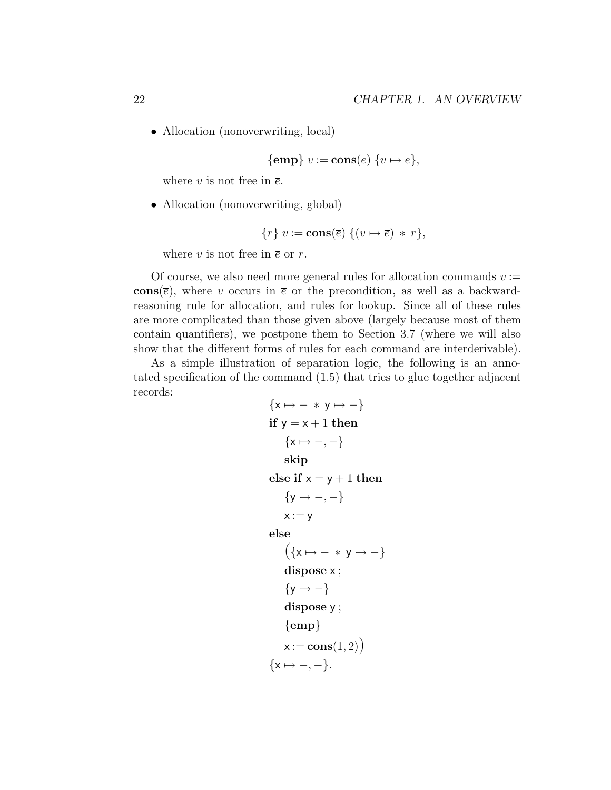• Allocation (nonoverwriting, local)

$$
\{\mathbf{emp}\} \ v := \mathbf{cons}(\overline{e}) \ \{v \mapsto \overline{e}\},
$$

where v is not free in  $\overline{e}$ .

• Allocation (nonoverwriting, global)

$$
\{r\} \ v := \mathbf{cons}(\overline{e}) \ \{ (v \mapsto \overline{e}) \ * \ r \},
$$

where v is not free in  $\bar{e}$  or r.

Of course, we also need more general rules for allocation commands  $v :=$ cons( $\bar{e}$ ), where v occurs in  $\bar{e}$  or the precondition, as well as a backwardreasoning rule for allocation, and rules for lookup. Since all of these rules are more complicated than those given above (largely because most of them contain quantifiers), we postpone them to Section 3.7 (where we will also show that the different forms of rules for each command are interderivable).

As a simple illustration of separation logic, the following is an annotated specification of the command (1.5) that tries to glue together adjacent records:

$$
\{x \mapsto - * y \mapsto -\}
$$
  
if  $y = x + 1$  then  

$$
\{x \mapsto -, -\}
$$
  
skip  
else if  $x = y + 1$  then  

$$
\{y \mapsto -, -\}
$$
  
 $x := y$   
else  

$$
(\{x \mapsto - * y \mapsto -\}
$$
  
dispose  $x$ ;  

$$
\{y \mapsto -\}
$$
  
dispose  $y$ ;  
{emp}  
 $x := const(1, 2)$   

$$
\{x \mapsto -, -\}.
$$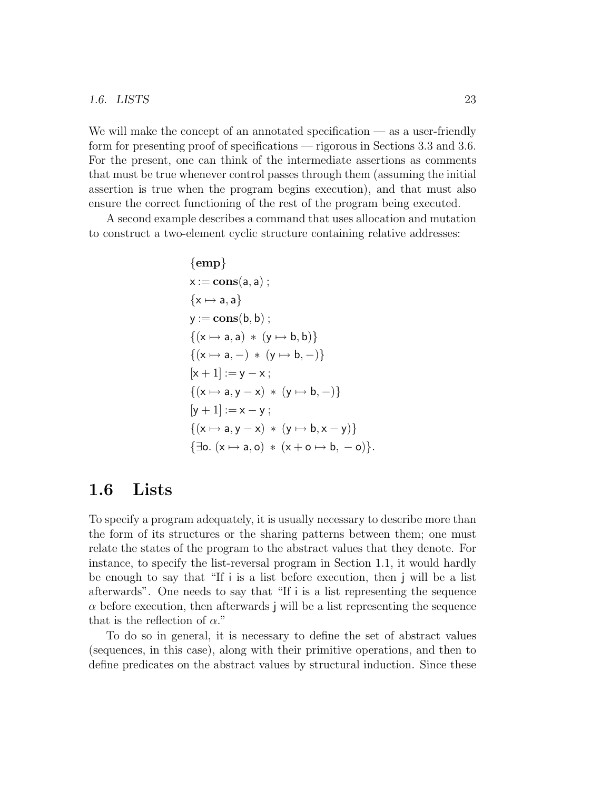#### 1.6. LISTS 23

We will make the concept of an annotated specification — as a user-friendly form for presenting proof of specifications — rigorous in Sections 3.3 and 3.6. For the present, one can think of the intermediate assertions as comments that must be true whenever control passes through them (assuming the initial assertion is true when the program begins execution), and that must also ensure the correct functioning of the rest of the program being executed.

A second example describes a command that uses allocation and mutation to construct a two-element cyclic structure containing relative addresses:

$$
{\rm \small \begin{aligned} &\{\text{emp}\} \\ &\text{x}:=\text{cons}(a,a)\,;\\ &\{\text{x}\mapsto a,a\} \\ &\text{y}:=\text{cons}(b,b)\,;\\ &\{(x\mapsto a,a)\,*\,(y\mapsto b,b)\} \\ &\{\text{(}x\mapsto a,-\text{)}\,*\,(y\mapsto b,-)\} \\ &\text{[}x+1] := y-x\,;\\ &\{\text{(}x\mapsto a,y-x)\,*\,(y\mapsto b,-)\} \\ &\text{[}y+1] := x-y\,;\\ &\{\text{(}x\mapsto a,y-x)\,*\,(y\mapsto b,x-y)\} \\ &\{\exists o.\;(x\mapsto a,o)\,*\,(x+o\mapsto b,-o)\}. \end{aligned}}
$$

### 1.6 Lists

To specify a program adequately, it is usually necessary to describe more than the form of its structures or the sharing patterns between them; one must relate the states of the program to the abstract values that they denote. For instance, to specify the list-reversal program in Section 1.1, it would hardly be enough to say that "If i is a list before execution, then j will be a list afterwards". One needs to say that "If i is a list representing the sequence  $\alpha$  before execution, then afterwards j will be a list representing the sequence that is the reflection of  $\alpha$ ."

To do so in general, it is necessary to define the set of abstract values (sequences, in this case), along with their primitive operations, and then to define predicates on the abstract values by structural induction. Since these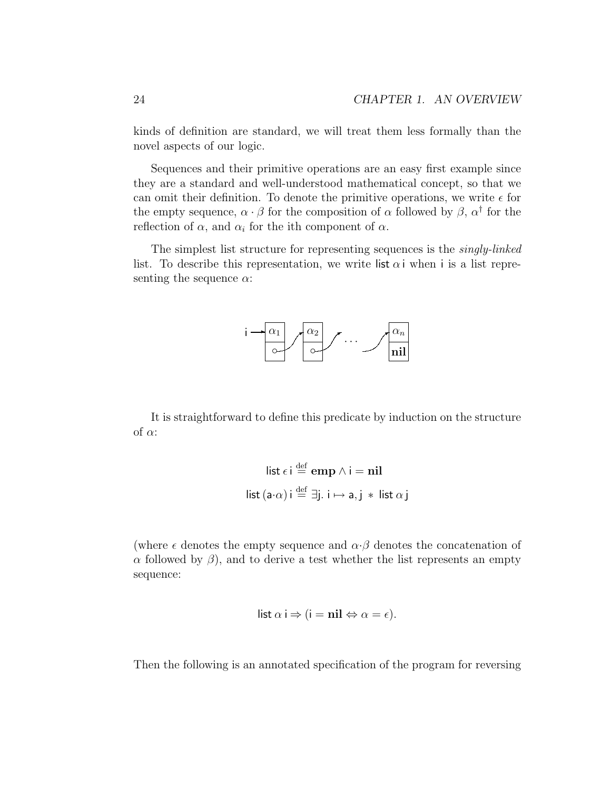kinds of definition are standard, we will treat them less formally than the novel aspects of our logic.

Sequences and their primitive operations are an easy first example since they are a standard and well-understood mathematical concept, so that we can omit their definition. To denote the primitive operations, we write  $\epsilon$  for the empty sequence,  $\alpha \cdot \beta$  for the composition of  $\alpha$  followed by  $\beta$ ,  $\alpha^{\dagger}$  for the reflection of  $\alpha$ , and  $\alpha_i$  for the ith component of  $\alpha$ .

The simplest list structure for representing sequences is the singly-linked list. To describe this representation, we write list  $\alpha$  i when i is a list representing the sequence  $\alpha$ :



It is straightforward to define this predicate by induction on the structure of  $\alpha$ :

$$
\begin{aligned}\n\text{list } \epsilon \, \text{i} &\stackrel{\text{def}}{=} \text{emp } \land \text{i} = \text{nil} \\
\text{list } (\text{a} \cdot \alpha) \, \text{i} &\stackrel{\text{def}}{=} \exists \text{j. i} \mapsto \text{a, j} * \text{list } \alpha \, \text{j}\n\end{aligned}
$$

(where  $\epsilon$  denotes the empty sequence and  $\alpha \cdot \beta$  denotes the concatenation of α followed by  $\beta$ ), and to derive a test whether the list represents an empty sequence:

$$
list \alpha i \Rightarrow (i = nil \Leftrightarrow \alpha = \epsilon).
$$

Then the following is an annotated specification of the program for reversing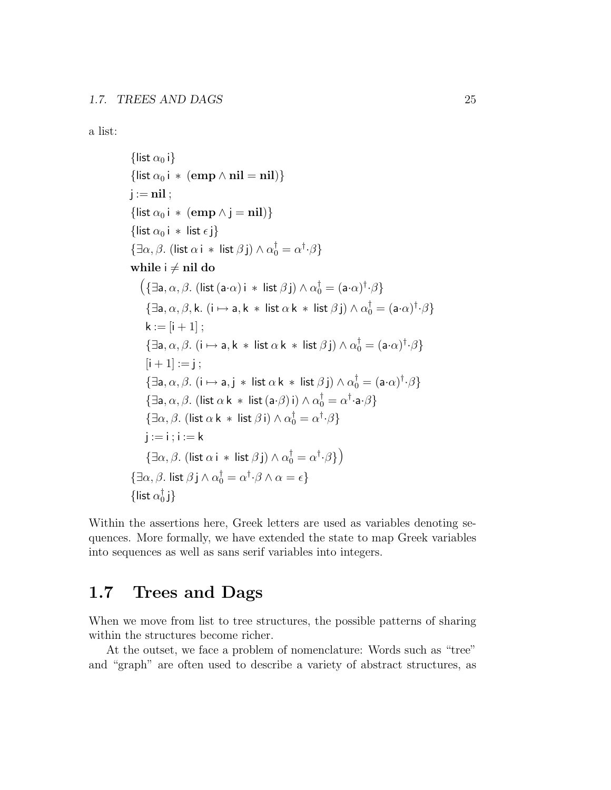a list:

```
{list \alpha_0 i}
{list \alpha_0 i * (emp \land nil = nil)}
j := nil;{list \alpha_0 i * (emp \wedge j = nil)}
{list \alpha_0 i * list \epsilon j}
 {\exists \alpha, \beta. (list \alpha i * list \beta j) \wedge \alpha_0^{\dagger} = \alpha^{\dagger} \cdot \beta}
while i \neq nil do
      \left(\{\exists \mathsf{a}, \alpha, \beta \mathsf{.} \text{ (list } (\mathsf{a} \cdot \alpha) \text{ i } * \text{ list } \beta \text{ j)} \wedge \alpha_0^\dagger = (\mathsf{a} \cdot \alpha)^\dagger \cdot \beta\right\}\{\exists a, \alpha, \beta, k. (i \mapsto a, k * list \alpha k * list \beta j) \wedge \alpha_0^{\dagger} = (a \cdot \alpha)^{\dagger} \cdot \beta\}k := [i + 1];
          \{\exists a, \alpha, \beta. (i \mapsto a, k * \text{ list } \alpha k * \text{ list } \beta j) \wedge \alpha_0^{\dagger} = (a \cdot \alpha)^{\dagger} \cdot \beta\}[i + 1] := i:
          \{\exists a, \alpha, \beta \ldotp (i \mapsto a, j \ast \text{ list } \alpha \text{ k } \ast \text{ list } \beta \text{ j}) \wedge \alpha_0^{\dagger} = (a \cdot \alpha)^{\dagger} \cdot \beta\}\{\exists \mathsf{a}, \alpha, \beta. (list \alpha \mathsf{k} * \mathsf{list}(\mathsf{a} \cdot \beta) \mathsf{i}) \wedge \alpha_0^\dagger = \alpha^\dagger \cdot \mathsf{a} \cdot \beta\}\{\exists \alpha, \beta \text{. (list } \alpha \text{ k } * \text{ list } \beta \text{ i)} \wedge \alpha_0^{\dagger} = \alpha^{\dagger} \cdot \beta\}i := i : i := k\{\exists \alpha, \beta \ldotp (\mathsf{list} \ \alpha \, \mathsf{i} \, * \, \mathsf{list} \ \beta \, \mathsf{j}) \wedge \alpha_0^\dagger = \alpha^\dagger \cdot \beta \}\{\exists \alpha, \beta \ldotp \mathsf{list}\ \beta\, \mathsf{j}\wedge \alpha_0^\dagger = \alpha^\dagger{\cdot}\beta\wedge\alpha = \epsilon\}\{list \alpha_0^\dagger\{\mathfrak{i}\}
```
Within the assertions here, Greek letters are used as variables denoting sequences. More formally, we have extended the state to map Greek variables into sequences as well as sans serif variables into integers.

### 1.7 Trees and Dags

When we move from list to tree structures, the possible patterns of sharing within the structures become richer.

At the outset, we face a problem of nomenclature: Words such as "tree" and "graph" are often used to describe a variety of abstract structures, as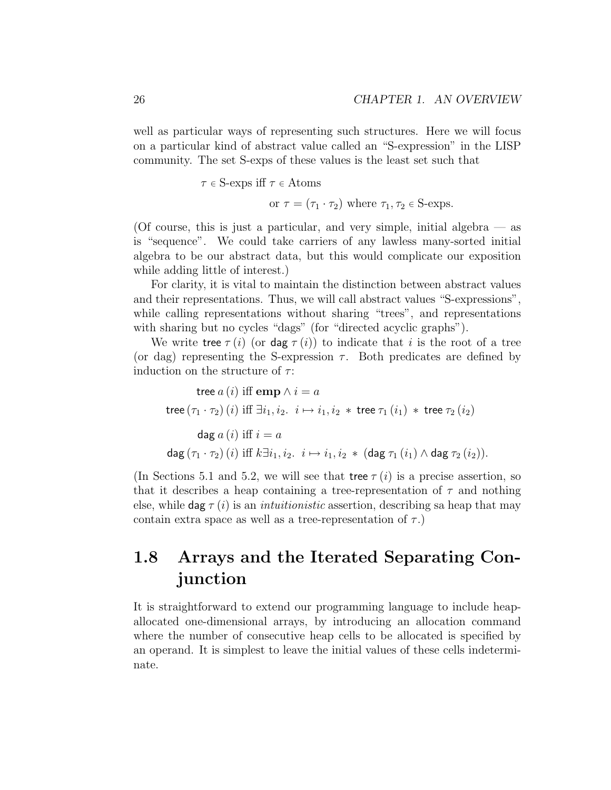well as particular ways of representing such structures. Here we will focus on a particular kind of abstract value called an "S-expression" in the LISP community. The set S-exps of these values is the least set such that

 $\tau \in S$ -exps iff  $\tau \in Atoms$ 

or  $\tau = (\tau_1 \cdot \tau_2)$  where  $\tau_1, \tau_2 \in S$ -exps.

(Of course, this is just a particular, and very simple, initial algebra — as is "sequence". We could take carriers of any lawless many-sorted initial algebra to be our abstract data, but this would complicate our exposition while adding little of interest.)

For clarity, it is vital to maintain the distinction between abstract values and their representations. Thus, we will call abstract values "S-expressions", while calling representations without sharing "trees", and representations with sharing but no cycles "dags" (for "directed acyclic graphs").

We write tree  $\tau(i)$  (or dag  $\tau(i)$ ) to indicate that i is the root of a tree (or dag) representing the S-expression  $\tau$ . Both predicates are defined by induction on the structure of  $\tau$ :

tree  $a(i)$  iff emp  $\wedge i = a$ tree  $(\tau_1 \cdot \tau_2)$  (*i*) iff  $\exists i_1, i_2 \cdot i \mapsto i_1, i_2 *$  tree  $\tau_1(i_1) *$  tree  $\tau_2(i_2)$ dag  $a(i)$  iff  $i = a$ dag  $(\tau_1 \cdot \tau_2)$   $(i)$  iff  $k\exists i_1, i_2 \ldots i \mapsto i_1, i_2$  \* (dag  $\tau_1$   $(i_1) \wedge$  dag  $\tau_2$   $(i_2)$ ).

(In Sections 5.1 and 5.2, we will see that tree  $\tau(i)$  is a precise assertion, so that it describes a heap containing a tree-representation of  $\tau$  and nothing else, while dag  $\tau(i)$  is an *intuitionistic* assertion, describing sa heap that may contain extra space as well as a tree-representation of  $\tau$ .)

### 1.8 Arrays and the Iterated Separating Conjunction

It is straightforward to extend our programming language to include heapallocated one-dimensional arrays, by introducing an allocation command where the number of consecutive heap cells to be allocated is specified by an operand. It is simplest to leave the initial values of these cells indeterminate.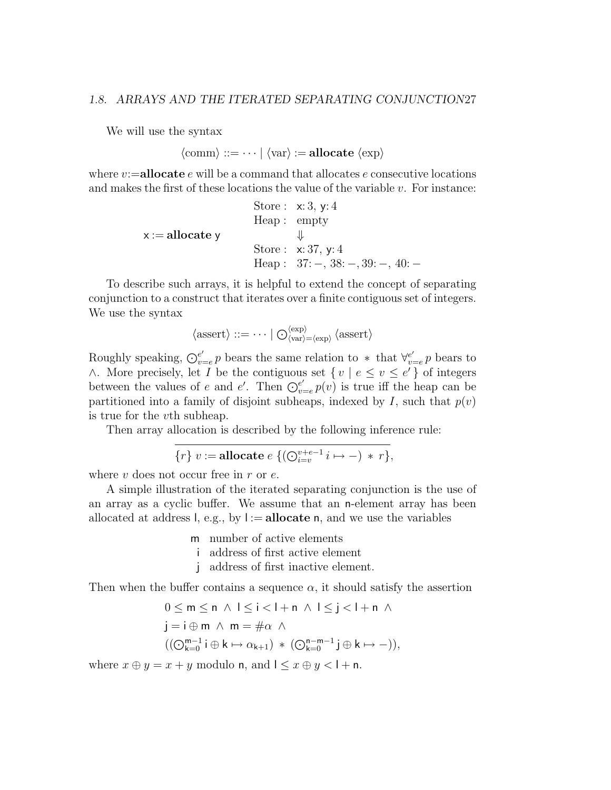#### 1.8. ARRAYS AND THE ITERATED SEPARATING CONJUNCTION27

We will use the syntax

 $\langle \text{comm} \rangle ::= \cdots | \langle \text{var} \rangle := \text{allocate } \langle \text{exp} \rangle$ 

where  $v:=$ **allocate** e will be a command that allocates e consecutive locations and makes the first of these locations the value of the variable  $v$ . For instance:

> Store : x: 3, y: 4 Heap : empty  $x := \text{allocate } y \qquad \qquad \Downarrow$ Store : x: 37, y: 4 Heap : 37: −, 38: −, 39: −, 40: −

To describe such arrays, it is helpful to extend the concept of separating conjunction to a construct that iterates over a finite contiguous set of integers. We use the syntax

$$
\langle \text{assert} \rangle ::= \cdots \mid \bigcirc_{\langle \text{var} \rangle = \langle \text{exp} \rangle}^{\langle \text{exp} \rangle} \langle \text{assert} \rangle
$$

Roughly speaking,  $\mathcal{O}_{v}^{e'}$  $e'_{v=e}$  p bears the same relation to  $*$  that  $\forall e'_{v:e}$  $e'_{v=e} p$  bears to ∧. More precisely, let *I* be the contiguous set  $\{v \mid e \le v \le e'\}$  of integers between the values of e and e'. Then  $\overline{\mathbb{O}_{v}^{e'}}$  $v=e'_{v=e}p(v)$  is true iff the heap can be partitioned into a family of disjoint subheaps, indexed by I, such that  $p(v)$ is true for the vth subheap.

Then array allocation is described by the following inference rule:

$$
\{r\} \ v := \textbf{allocate} \ e \ \{(\bigodot_{i=v}^{v+e-1} i \mapsto -) \ * \ r\},
$$

where  $v$  does not occur free in  $r$  or  $e$ .

A simple illustration of the iterated separating conjunction is the use of an array as a cyclic buffer. We assume that an n-element array has been allocated at address l, e.g., by  $I := \text{allocate } n$ , and we use the variables

m number of active elements

- i address of first active element
- j address of first inactive element.

Then when the buffer contains a sequence  $\alpha$ , it should satisfy the assertion

$$
0 \le m \le n \land 1 \le i < l + n \land 1 \le j < l + n \land 1
$$
\n
$$
j = i \oplus m \land m = \# \alpha \land 1
$$
\n
$$
((\bigcirc_{k=0}^{m-1} i \oplus k \mapsto \alpha_{k+1}) * (\bigcirc_{k=0}^{n-m-1} j \oplus k \mapsto -)),
$$

where  $x \oplus y = x + y$  modulo n, and  $1 \le x \oplus y < 1 + n$ .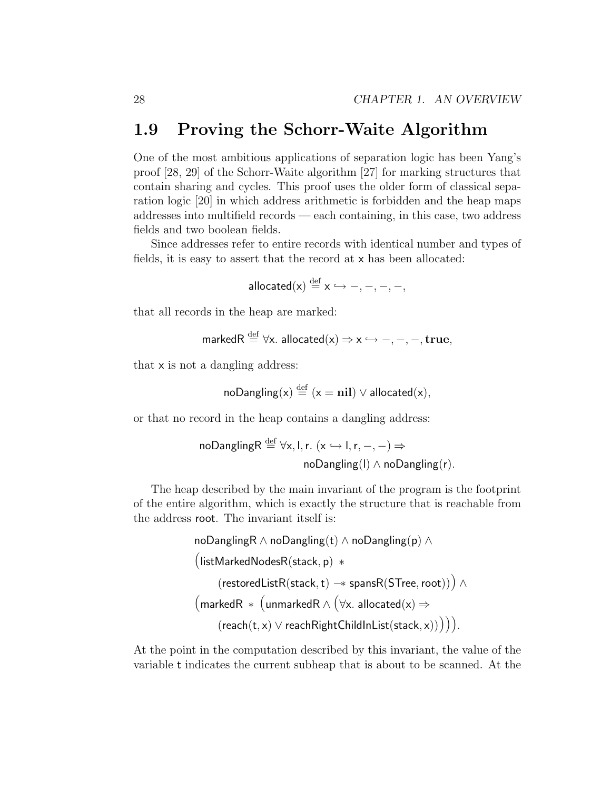### 1.9 Proving the Schorr-Waite Algorithm

One of the most ambitious applications of separation logic has been Yang's proof [28, 29] of the Schorr-Waite algorithm [27] for marking structures that contain sharing and cycles. This proof uses the older form of classical separation logic [20] in which address arithmetic is forbidden and the heap maps addresses into multifield records — each containing, in this case, two address fields and two boolean fields.

Since addresses refer to entire records with identical number and types of fields, it is easy to assert that the record at x has been allocated:

allocated(x)  $\stackrel{\rm def}{=}$  x  $\hookrightarrow$   $-$ ,  $-$ ,  $-$ ,  $-$ ,

that all records in the heap are marked:

$$
\mathsf{markedR} \stackrel{\mathrm{def}}{=} \forall \mathsf{x} \ldotp \mathsf{ allocated(x)} \Rightarrow \mathsf{x} \hookrightarrow -, -, -, \mathsf{true},
$$

that x is not a dangling address:

$$
noDanging(x) \stackrel{\text{def}}{=} (x = nil) \lor allocated(x),
$$

or that no record in the heap contains a dangling address:

$$
\begin{aligned}\n\text{noDanglingR} &\stackrel{\text{def}}{=} \forall x, l, r. \ (\text{x} \hookrightarrow l, r, -, -) \Rightarrow \\
&\quad \text{noDanging(l)} \land \text{noDanging(r)}.\n\end{aligned}
$$

The heap described by the main invariant of the program is the footprint of the entire algorithm, which is exactly the structure that is reachable from the address root. The invariant itself is:

$$
\begin{array}{l} \mathsf{noDanglingR}\wedge\mathsf{noDangling(t)}\wedge\mathsf{noDangling(p)}\wedge\\ \big(\mathsf{listMarketNodesR}(\mathsf{stack},\mathsf{p})\;\ast \\ (\mathsf{restoredListR}(\mathsf{stack},\mathsf{t})\twoheadrightarrow\mathsf{spansR}(\mathsf{STree},\mathsf{root}))\big)\wedge\\ \big(\mathsf{markedR}\;\ast\;\big(\mathsf{unmarkedR}\wedge\big(\forall \mathsf{x}.\ \mathsf{allocated}(\mathsf{x})\Rightarrow\\ (\mathsf{reach}(\mathsf{t},\mathsf{x})\vee\mathsf{reachRightChildInList}(\mathsf{stack},\mathsf{x}))\big)\big)\big). \end{array}
$$

At the point in the computation described by this invariant, the value of the variable t indicates the current subheap that is about to be scanned. At the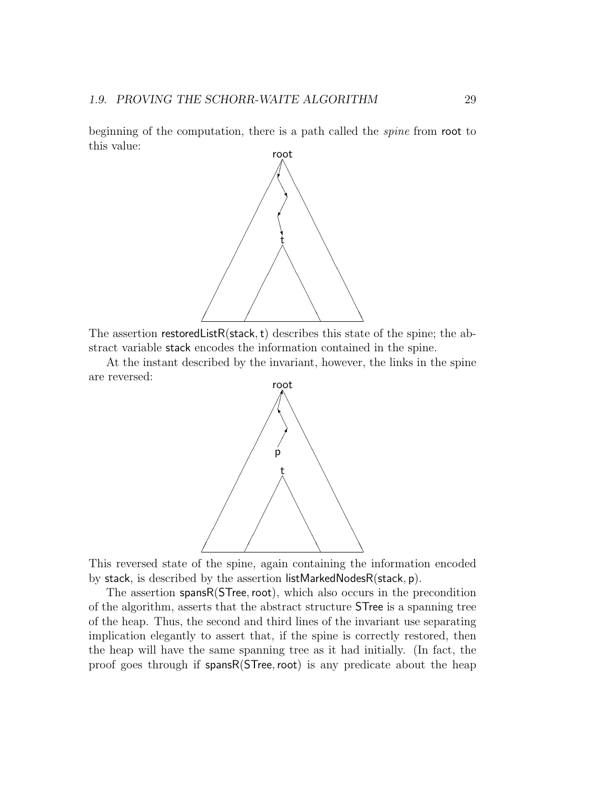beginning of the computation, there is a path called the *spine* from root to this value:



The assertion restored List R(stack, t) describes this state of the spine; the abstract variable stack encodes the information contained in the spine.

At the instant described by the invariant, however, the links in the spine are reversed:



This reversed state of the spine, again containing the information encoded by stack, is described by the assertion listMarkedNodesR(stack, p).

The assertion spansR(STree, root), which also occurs in the precondition of the algorithm, asserts that the abstract structure STree is a spanning tree of the heap. Thus, the second and third lines of the invariant use separating implication elegantly to assert that, if the spine is correctly restored, then the heap will have the same spanning tree as it had initially. (In fact, the proof goes through if spansR(STree, root) is any predicate about the heap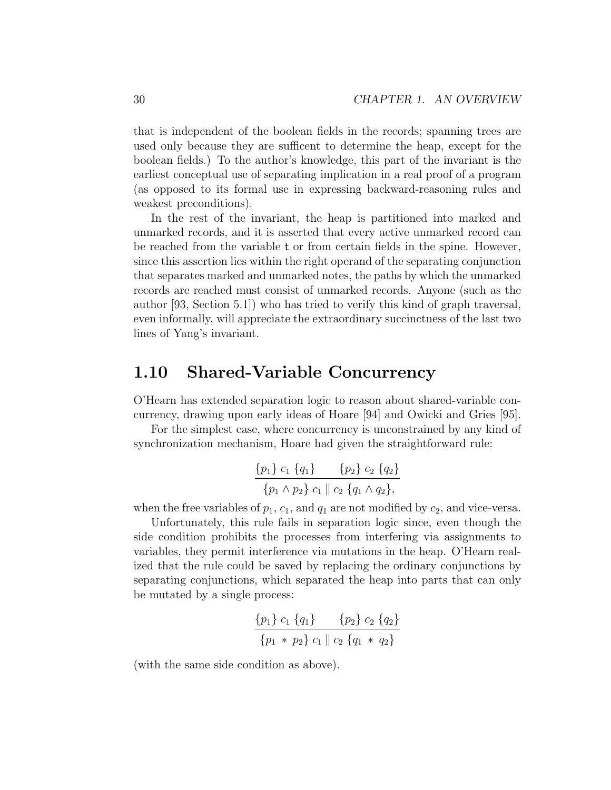that is independent of the boolean fields in the records; spanning trees are used only because they are sufficent to determine the heap, except for the boolean fields.) To the author's knowledge, this part of the invariant is the earliest conceptual use of separating implication in a real proof of a program (as opposed to its formal use in expressing backward-reasoning rules and weakest preconditions).

In the rest of the invariant, the heap is partitioned into marked and unmarked records, and it is asserted that every active unmarked record can be reached from the variable t or from certain fields in the spine. However, since this assertion lies within the right operand of the separating conjunction that separates marked and unmarked notes, the paths by which the unmarked records are reached must consist of unmarked records. Anyone (such as the author [93, Section 5.1]) who has tried to verify this kind of graph traversal, even informally, will appreciate the extraordinary succinctness of the last two lines of Yang's invariant.

### 1.10 Shared-Variable Concurrency

O'Hearn has extended separation logic to reason about shared-variable concurrency, drawing upon early ideas of Hoare [94] and Owicki and Gries [95].

For the simplest case, where concurrency is unconstrained by any kind of synchronization mechanism, Hoare had given the straightforward rule:

$$
\frac{\{p_1\} c_1 \{q_1\}}{\{p_1 \wedge p_2\} c_1 || c_2 \{q_1 \wedge q_2\}},
$$

when the free variables of  $p_1$ ,  $c_1$ , and  $q_1$  are not modified by  $c_2$ , and vice-versa.

Unfortunately, this rule fails in separation logic since, even though the side condition prohibits the processes from interfering via assignments to variables, they permit interference via mutations in the heap. O'Hearn realized that the rule could be saved by replacing the ordinary conjunctions by separating conjunctions, which separated the heap into parts that can only be mutated by a single process:

$$
\frac{\{p_1\} c_1 \{q_1\}}{\{p_1 * p_2\} c_1 \| c_2 \{q_1 * q_2\}}\n\frac{\{p_2\} c_2 \{q_2\}}{\{q_1 * q_2\}}
$$

(with the same side condition as above).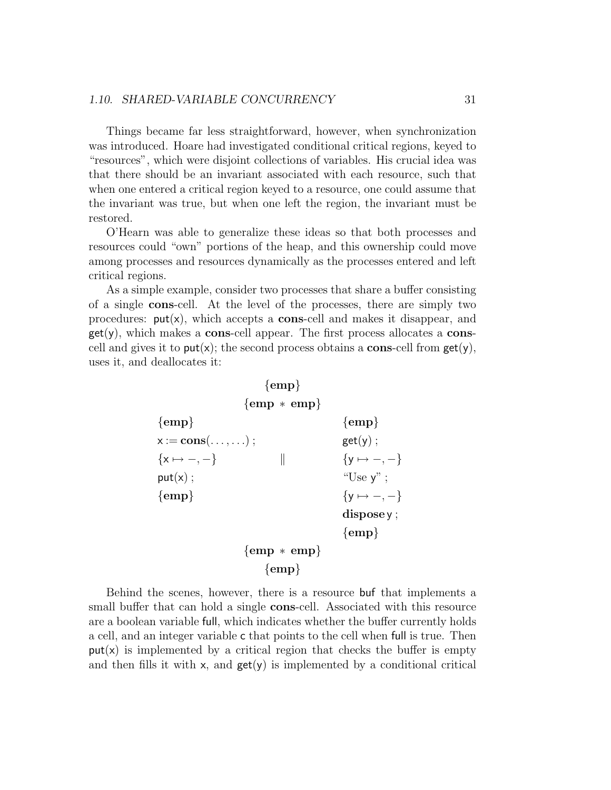#### 1.10. SHARED-VARIABLE CONCURRENCY 31

Things became far less straightforward, however, when synchronization was introduced. Hoare had investigated conditional critical regions, keyed to "resources", which were disjoint collections of variables. His crucial idea was that there should be an invariant associated with each resource, such that when one entered a critical region keyed to a resource, one could assume that the invariant was true, but when one left the region, the invariant must be restored.

O'Hearn was able to generalize these ideas so that both processes and resources could "own" portions of the heap, and this ownership could move among processes and resources dynamically as the processes entered and left critical regions.

As a simple example, consider two processes that share a buffer consisting of a single cons-cell. At the level of the processes, there are simply two procedures:  $put(x)$ , which accepts a **cons**-cell and makes it disappear, and  $get(y)$ , which makes a cons-cell appear. The first process allocates a conscell and gives it to  $put(x)$ ; the second process obtains a **cons**-cell from  $get(y)$ , uses it, and deallocates it:



Behind the scenes, however, there is a resource buf that implements a small buffer that can hold a single **cons**-cell. Associated with this resource are a boolean variable full, which indicates whether the buffer currently holds a cell, and an integer variable c that points to the cell when full is true. Then  $put(x)$  is implemented by a critical region that checks the buffer is empty and then fills it with  $x$ , and  $get(y)$  is implemented by a conditional critical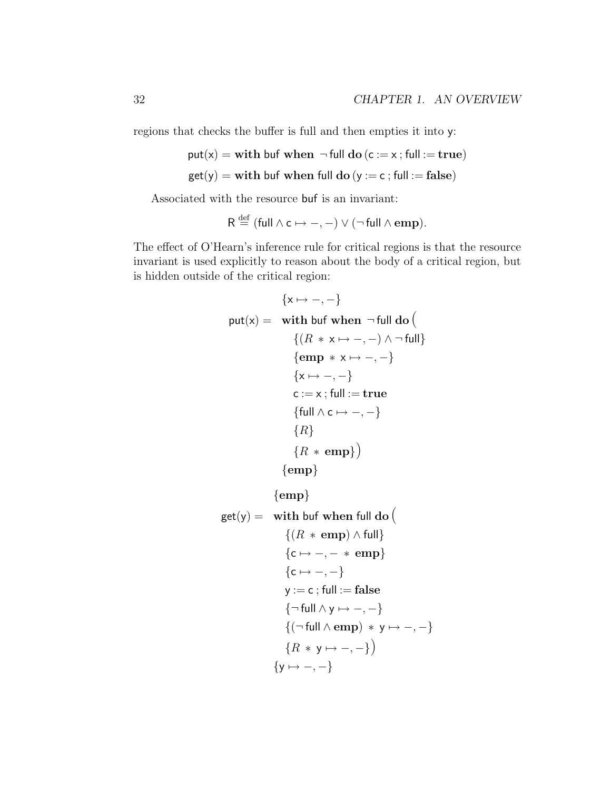regions that checks the buffer is full and then empties it into y:

```
put(x) = with but when \neg full do (c := x; full := true)
```

```
get(y) = with but when full do (y := c; full := false)
```
Associated with the resource buf is an invariant:

$$
R \stackrel{\text{def}}{=} (\text{full} \land c \mapsto -, -) \lor (\neg \text{full} \land \text{emp}).
$$

The effect of O'Hearn's inference rule for critical regions is that the resource invariant is used explicitly to reason about the body of a critical region, but is hidden outside of the critical region:

```
\{x \mapsto -, -\}put(x) = with buf when \neg full do\{(R \times \mathsf{x} \mapsto -, -) \wedge \neg \text{full}\}{emp * x \mapsto -, -}\{x \mapsto -,-\}c := x; full := true{full \wedge c \mapsto -, -}\{R\}{R * emp}{emp}
```

```
{emp}
```
get(y) = with but when full do (  
\n
$$
\{(R * emp) \land full\}
$$
\n
$$
\{c \mapsto -, - * emp\}
$$
\n
$$
\{c \mapsto -, -\}
$$
\n
$$
y := c ; full := false
$$
\n
$$
\{\neg full \land y \mapsto -, -\}
$$
\n
$$
\{(\neg full \land emp) * y \mapsto -, -\}
$$
\n
$$
\{R * y \mapsto -, -\}
$$
\n
$$
\{y \mapsto -, -\}
$$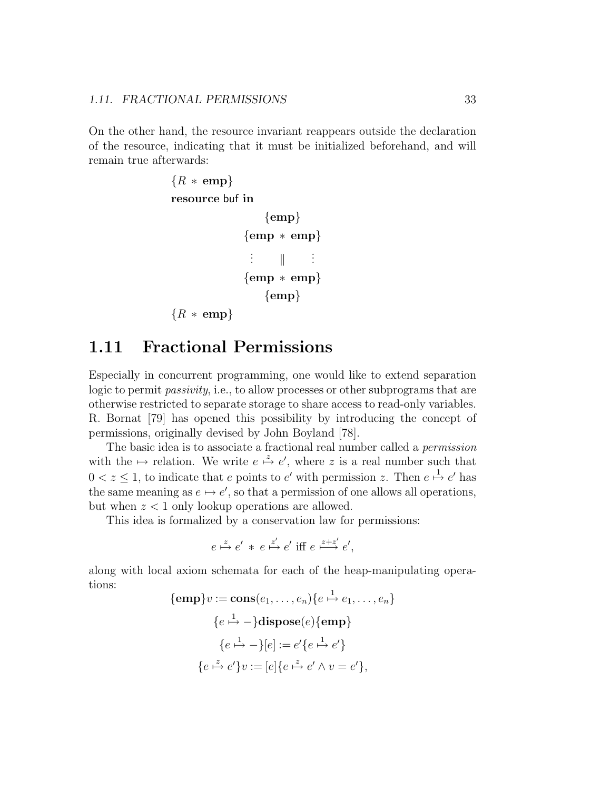On the other hand, the resource invariant reappears outside the declaration of the resource, indicating that it must be initialized beforehand, and will remain true afterwards:

```
{R * emp}resource buf in
                  \{emp\}{emp ∗ emp}
               .
.
                    \parallel.
.
.
              {emp ∗ emp}
                  {emp}{R * emp}
```
### 1.11 Fractional Permissions

Especially in concurrent programming, one would like to extend separation logic to permit passivity, i.e., to allow processes or other subprograms that are otherwise restricted to separate storage to share access to read-only variables. R. Bornat [79] has opened this possibility by introducing the concept of permissions, originally devised by John Boyland [78].

The basic idea is to associate a fractional real number called a permission with the  $\mapsto$  relation. We write  $e \stackrel{z}{\mapsto} e'$ , where z is a real number such that  $0 < z \leq 1$ , to indicate that e points to e' with permission z. Then  $e \stackrel{1}{\mapsto} e'$  has the same meaning as  $e \mapsto e'$ , so that a permission of one allows all operations, but when  $z < 1$  only lookup operations are allowed.

This idea is formalized by a conservation law for permissions:

$$
e \xrightarrow{z} e' * e \xrightarrow{z'} e' \text{ iff } e \xrightarrow{z+z'} e',
$$

along with local axiom schemata for each of the heap-manipulating operations:

$$
\{\text{emp}\}v := \text{cons}(e_1, \dots, e_n)\{e \xrightarrow{1} e_1, \dots, e_n\}
$$

$$
\{e \xrightarrow{1} -\} \text{dispose}(e)\{\text{emp}\}
$$

$$
\{e \xrightarrow{1} -\}[e] := e'\{e \xrightarrow{1} e'\}
$$

$$
\{e \xrightarrow{z} e'\}v := [e]\{e \xrightarrow{z} e' \wedge v = e'\},
$$